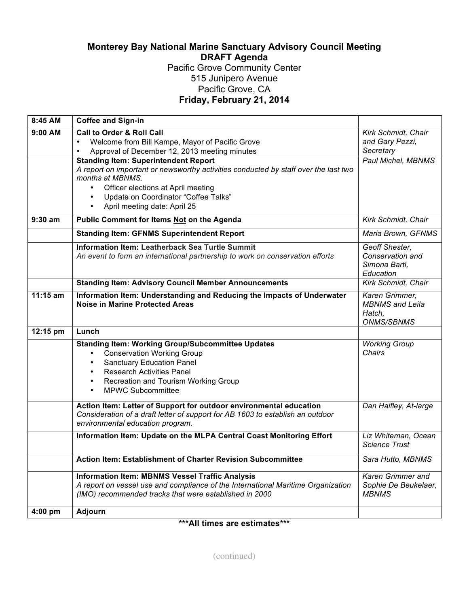## **Monterey Bay National Marine Sanctuary Advisory Council Meeting DRAFT Agenda** Pacific Grove Community Center

## 515 Junipero Avenue Pacific Grove, CA **Friday, February 21, 2014**

| $8:45$ AM  | <b>Coffee and Sign-in</b>                                                                                                                                                                                                                                                                      |                                                                         |
|------------|------------------------------------------------------------------------------------------------------------------------------------------------------------------------------------------------------------------------------------------------------------------------------------------------|-------------------------------------------------------------------------|
| 9:00 AM    | <b>Call to Order &amp; Roll Call</b><br>Welcome from Bill Kampe, Mayor of Pacific Grove<br>$\bullet$<br>Approval of December 12, 2013 meeting minutes                                                                                                                                          | Kirk Schmidt, Chair<br>and Gary Pezzi,<br>Secretary                     |
|            | <b>Standing Item: Superintendent Report</b><br>A report on important or newsworthy activities conducted by staff over the last two<br>months at MBNMS.<br>Officer elections at April meeting<br>$\bullet$<br>Update on Coordinator "Coffee Talks"<br>$\bullet$<br>April meeting date: April 25 | Paul Michel, MBNMS                                                      |
| $9:30$ am  | Public Comment for Items Not on the Agenda                                                                                                                                                                                                                                                     | Kirk Schmidt, Chair                                                     |
|            | <b>Standing Item: GFNMS Superintendent Report</b>                                                                                                                                                                                                                                              | Maria Brown, GFNMS                                                      |
|            | Information Item: Leatherback Sea Turtle Summit<br>An event to form an international partnership to work on conservation efforts                                                                                                                                                               | Geoff Shester,<br>Conservation and<br>Simona Bartl,<br>Education        |
|            | <b>Standing Item: Advisory Council Member Announcements</b>                                                                                                                                                                                                                                    | Kirk Schmidt, Chair                                                     |
| $11:15$ am | Information Item: Understanding and Reducing the Impacts of Underwater<br><b>Noise in Marine Protected Areas</b>                                                                                                                                                                               | Karen Grimmer,<br><b>MBNMS</b> and Leila<br>Hatch,<br><b>ONMS/SBNMS</b> |
| 12:15 pm   | Lunch                                                                                                                                                                                                                                                                                          |                                                                         |
|            | <b>Standing Item: Working Group/Subcommittee Updates</b><br><b>Conservation Working Group</b><br>$\bullet$<br><b>Sanctuary Education Panel</b><br><b>Research Activities Panel</b><br>$\bullet$<br>Recreation and Tourism Working Group<br><b>MPWC Subcommittee</b><br>$\bullet$               | <b>Working Group</b><br>Chairs                                          |
|            | Action Item: Letter of Support for outdoor environmental education<br>Consideration of a draft letter of support for AB 1603 to establish an outdoor<br>environmental education program.                                                                                                       | Dan Haifley, At-large                                                   |
|            | Information Item: Update on the MLPA Central Coast Monitoring Effort                                                                                                                                                                                                                           | Liz Whiteman, Ocean<br><b>Science Trust</b>                             |
|            | Action Item: Establishment of Charter Revision Subcommittee                                                                                                                                                                                                                                    | Sara Hutto, MBNMS                                                       |
|            | <b>Information Item: MBNMS Vessel Traffic Analysis</b><br>A report on vessel use and compliance of the International Maritime Organization<br>(IMO) recommended tracks that were established in 2000                                                                                           | Karen Grimmer and<br>Sophie De Beukelaer,<br><b>MBNMS</b>               |
| $4:00$ pm  | Adjourn                                                                                                                                                                                                                                                                                        |                                                                         |
|            |                                                                                                                                                                                                                                                                                                |                                                                         |

**\*\*\*All times are estimates\*\*\***